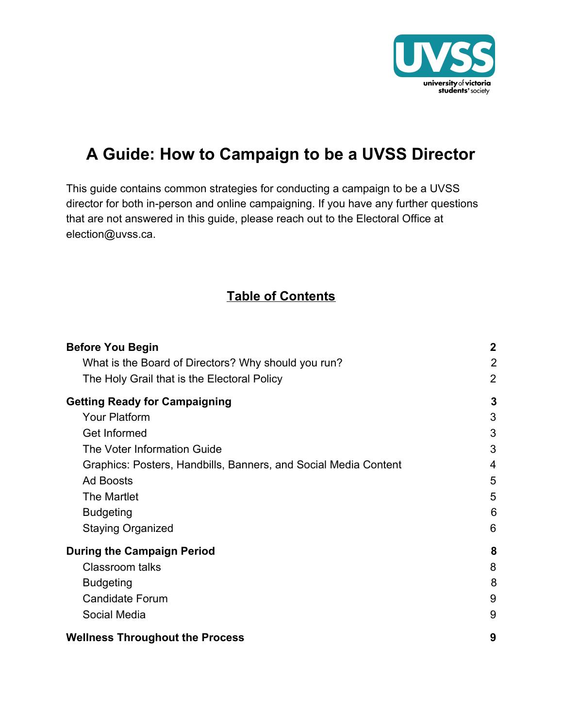

### **A Guide: How to Campaign to be a UVSS Director**

This guide contains common strategies for conducting a campaign to be a UVSS director for both in-person and online campaigning. If you have any further questions that are not answered in this guide, please reach out to the Electoral Office at election@uvss.ca.

#### **Table of Contents**

| <b>Before You Begin</b>                                         | $\mathbf 2$ |
|-----------------------------------------------------------------|-------------|
| What is the Board of Directors? Why should you run?             | 2           |
| The Holy Grail that is the Electoral Policy                     | 2           |
| <b>Getting Ready for Campaigning</b>                            | 3           |
| <b>Your Platform</b>                                            | 3           |
| Get Informed                                                    | 3           |
| The Voter Information Guide                                     | 3           |
| Graphics: Posters, Handbills, Banners, and Social Media Content | 4           |
| <b>Ad Boosts</b>                                                | 5           |
| The Martlet                                                     | 5           |
| <b>Budgeting</b>                                                | 6           |
| <b>Staying Organized</b>                                        | 6           |
| <b>During the Campaign Period</b>                               | 8           |
| <b>Classroom talks</b>                                          | 8           |
| <b>Budgeting</b>                                                | 8           |
| <b>Candidate Forum</b>                                          | 9           |
| Social Media                                                    | 9           |
| <b>Wellness Throughout the Process</b>                          |             |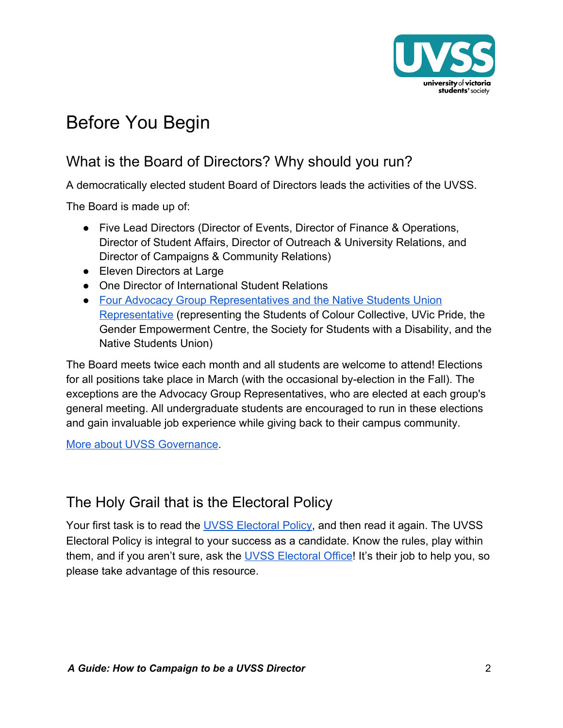

## <span id="page-1-0"></span>Before You Begin

### <span id="page-1-1"></span>What is the Board of Directors? Why should you run?

A democratically elected student Board of Directors leads the activities of the UVSS.

The Board is made up of:

- Five Lead Directors (Director of Events, Director of Finance & Operations, Director of Student Affairs, Director of Outreach & University Relations, and Director of Campaigns & Community Relations)
- Eleven Directors at Large
- One Director of International Student Relations
- [Four Advocacy Group Representatives and the Native Students Union](https://uvss.ca/advocacy-groups-nsu/) [Representative](https://uvss.ca/advocacy-groups-nsu/) (representing the Students of Colour Collective, UVic Pride, the Gender Empowerment Centre, the Society for Students with a Disability, and the Native Students Union)

The Board meets twice each month and all students are welcome to attend! Elections for all positions take place in March (with the occasional by-election in the Fall). The exceptions are the Advocacy Group Representatives, who are elected at each group's general meeting. All undergraduate students are encouraged to run in these elections and gain invaluable job experience while giving back to their campus community.

[More about UVSS Governance.](https://uvss.ca/governance/)

#### <span id="page-1-2"></span>The Holy Grail that is the Electoral Policy

Your first task is to read the [UVSS Electoral Policy,](https://uvsselections.com/policies/) and then read it again. The UVSS Electoral Policy is integral to your success as a candidate. Know the rules, play within them, and if you aren't sure, ask the [UVSS Electoral Office](https://uvsselections.com/)! It's their job to help you, so please take advantage of this resource.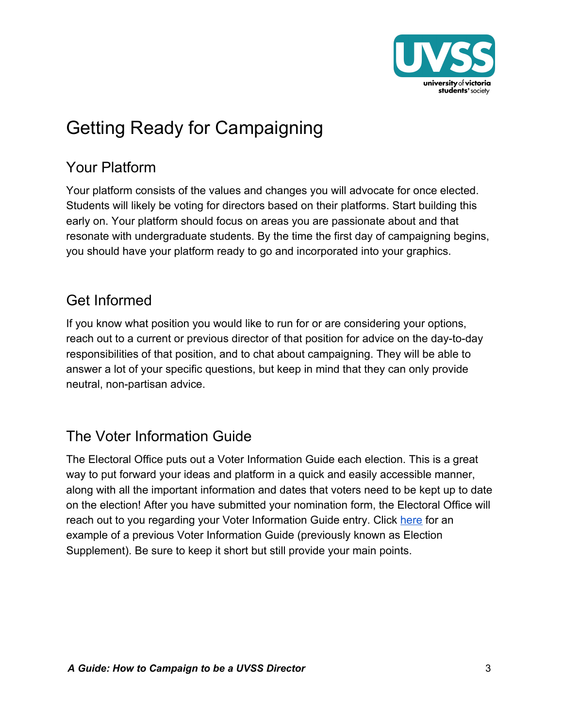

# <span id="page-2-0"></span>Getting Ready for Campaigning

### <span id="page-2-1"></span>Your Platform

Your platform consists of the values and changes you will advocate for once elected. Students will likely be voting for directors based on their platforms. Start building this early on. Your platform should focus on areas you are passionate about and that resonate with undergraduate students. By the time the first day of campaigning begins, you should have your platform ready to go and incorporated into your graphics.

### <span id="page-2-2"></span>Get Informed

If you know what position you would like to run for or are considering your options, reach out to a current or previous director of that position for advice on the day-to-day responsibilities of that position, and to chat about campaigning. They will be able to answer a lot of your specific questions, but keep in mind that they can only provide neutral, non-partisan advice.

### <span id="page-2-3"></span>The Voter Information Guide

The Electoral Office puts out a Voter Information Guide each election. This is a great way to put forward your ideas and platform in a quick and easily accessible manner, along with all the important information and dates that voters need to be kept up to date on the election! After you have submitted your nomination form, the Electoral Office will reach out to you regarding your Voter Information Guide entry. Click [here](https://uvsselections.files.wordpress.com/2020/02/elections_martlet_supplement_2020-2021_final-1.pdf) for an example of a previous Voter Information Guide (previously known as Election Supplement). Be sure to keep it short but still provide your main points.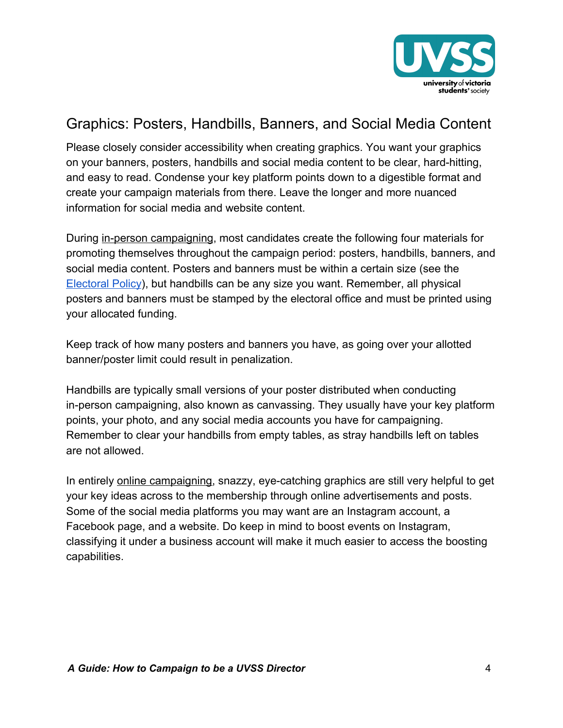

### <span id="page-3-0"></span>Graphics: Posters, Handbills, Banners, and Social Media Content

Please closely consider accessibility when creating graphics. You want your graphics on your banners, posters, handbills and social media content to be clear, hard-hitting, and easy to read. Condense your key platform points down to a digestible format and create your campaign materials from there. Leave the longer and more nuanced information for social media and website content.

During in-person campaigning, most candidates create the following four materials for promoting themselves throughout the campaign period: posters, handbills, banners, and social media content. Posters and banners must be within a certain size (see the [Electoral Policy](https://uvsselections.com/policies/)), but handbills can be any size you want. Remember, all physical posters and banners must be stamped by the electoral office and must be printed using your allocated funding.

Keep track of how many posters and banners you have, as going over your allotted banner/poster limit could result in penalization.

Handbills are typically small versions of your poster distributed when conducting in-person campaigning, also known as canvassing. They usually have your key platform points, your photo, and any social media accounts you have for campaigning. Remember to clear your handbills from empty tables, as stray handbills left on tables are not allowed.

In entirely online campaigning, snazzy, eye-catching graphics are still very helpful to get your key ideas across to the membership through online advertisements and posts. Some of the social media platforms you may want are an Instagram account, a Facebook page, and a website. Do keep in mind to boost events on Instagram, classifying it under a business account will make it much easier to access the boosting capabilities.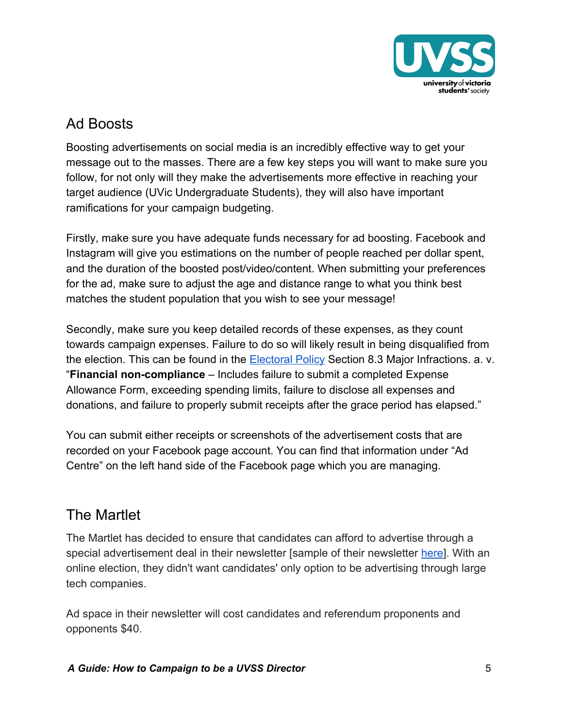

#### <span id="page-4-0"></span>Ad Boosts

Boosting advertisements on social media is an incredibly effective way to get your message out to the masses. There are a few key steps you will want to make sure you follow, for not only will they make the advertisements more effective in reaching your target audience (UVic Undergraduate Students), they will also have important ramifications for your campaign budgeting.

Firstly, make sure you have adequate funds necessary for ad boosting. Facebook and Instagram will give you estimations on the number of people reached per dollar spent, and the duration of the boosted post/video/content. When submitting your preferences for the ad, make sure to adjust the age and distance range to what you think best matches the student population that you wish to see your message!

Secondly, make sure you keep detailed records of these expenses, as they count towards campaign expenses. Failure to do so will likely result in being disqualified from the election. This can be found in the [Electoral Policy](https://uvss.ca/wp-content/uploads/2020/09/Electoral-Policy-Manual-Sept-21-2020.pdf) Section 8.3 Major Infractions. a. v. "**Financial non-compliance** – Includes failure to submit a completed Expense Allowance Form, exceeding spending limits, failure to disclose all expenses and donations, and failure to properly submit receipts after the grace period has elapsed."

You can submit either receipts or screenshots of the advertisement costs that are recorded on your Facebook page account. You can find that information under "Ad Centre" on the left hand side of the Facebook page which you are managing.

### <span id="page-4-1"></span>The Martlet

The Martlet has decided to ensure that candidates can afford to advertise through a special advertisement deal in their newsletter [sample of their newsletter [here](https://mailchi.mp/901a1a2a2f07/inside-this-issue-of-the-martlet-helpful-links-for-students-3240138?e=[UNIQID])]. With an online election, they didn't want candidates' only option to be advertising through large tech companies.

Ad space in their newsletter will cost candidates and referendum proponents and opponents \$40.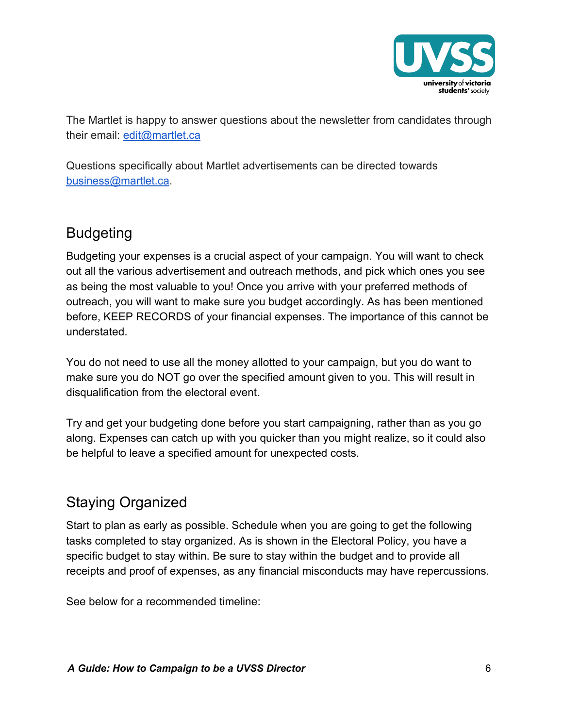

The Martlet is happy to answer questions about the newsletter from candidates through their email: [edit@martlet.ca](mailto:edit@martlet.ca)

Questions specifically about Martlet advertisements can be directed towards [business@martlet.ca](mailto:business@martlet.ca).

#### <span id="page-5-0"></span>Budgeting

Budgeting your expenses is a crucial aspect of your campaign. You will want to check out all the various advertisement and outreach methods, and pick which ones you see as being the most valuable to you! Once you arrive with your preferred methods of outreach, you will want to make sure you budget accordingly. As has been mentioned before, KEEP RECORDS of your financial expenses. The importance of this cannot be understated.

You do not need to use all the money allotted to your campaign, but you do want to make sure you do NOT go over the specified amount given to you. This will result in disqualification from the electoral event.

Try and get your budgeting done before you start campaigning, rather than as you go along. Expenses can catch up with you quicker than you might realize, so it could also be helpful to leave a specified amount for unexpected costs.

### <span id="page-5-1"></span>Staying Organized

Start to plan as early as possible. Schedule when you are going to get the following tasks completed to stay organized. As is shown in the Electoral Policy, you have a specific budget to stay within. Be sure to stay within the budget and to provide all receipts and proof of expenses, as any financial misconducts may have repercussions.

See below for a recommended timeline: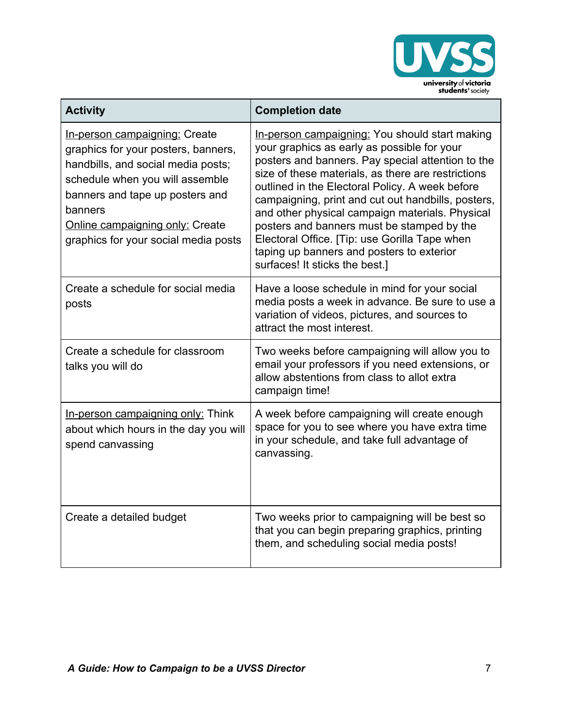

| <b>Activity</b>                                                                                                                                                                                                                                                               | <b>Completion date</b>                                                                                                                                                                                                                                                                                                                                                                                                                                                                                                                             |
|-------------------------------------------------------------------------------------------------------------------------------------------------------------------------------------------------------------------------------------------------------------------------------|----------------------------------------------------------------------------------------------------------------------------------------------------------------------------------------------------------------------------------------------------------------------------------------------------------------------------------------------------------------------------------------------------------------------------------------------------------------------------------------------------------------------------------------------------|
| In-person campaigning: Create<br>graphics for your posters, banners,<br>handbills, and social media posts;<br>schedule when you will assemble<br>banners and tape up posters and<br>banners<br><b>Online campaigning only: Create</b><br>graphics for your social media posts | In-person campaigning: You should start making<br>your graphics as early as possible for your<br>posters and banners. Pay special attention to the<br>size of these materials, as there are restrictions<br>outlined in the Electoral Policy. A week before<br>campaigning, print and cut out handbills, posters,<br>and other physical campaign materials. Physical<br>posters and banners must be stamped by the<br>Electoral Office. [Tip: use Gorilla Tape when<br>taping up banners and posters to exterior<br>surfaces! It sticks the best.] |
| Create a schedule for social media<br>posts                                                                                                                                                                                                                                   | Have a loose schedule in mind for your social<br>media posts a week in advance. Be sure to use a<br>variation of videos, pictures, and sources to<br>attract the most interest.                                                                                                                                                                                                                                                                                                                                                                    |
| Create a schedule for classroom<br>talks you will do                                                                                                                                                                                                                          | Two weeks before campaigning will allow you to<br>email your professors if you need extensions, or<br>allow abstentions from class to allot extra<br>campaign time!                                                                                                                                                                                                                                                                                                                                                                                |
| In-person campaigning only: Think<br>about which hours in the day you will<br>spend canvassing                                                                                                                                                                                | A week before campaigning will create enough<br>space for you to see where you have extra time<br>in your schedule, and take full advantage of<br>canvassing.                                                                                                                                                                                                                                                                                                                                                                                      |
| Create a detailed budget                                                                                                                                                                                                                                                      | Two weeks prior to campaigning will be best so<br>that you can begin preparing graphics, printing<br>them, and scheduling social media posts!                                                                                                                                                                                                                                                                                                                                                                                                      |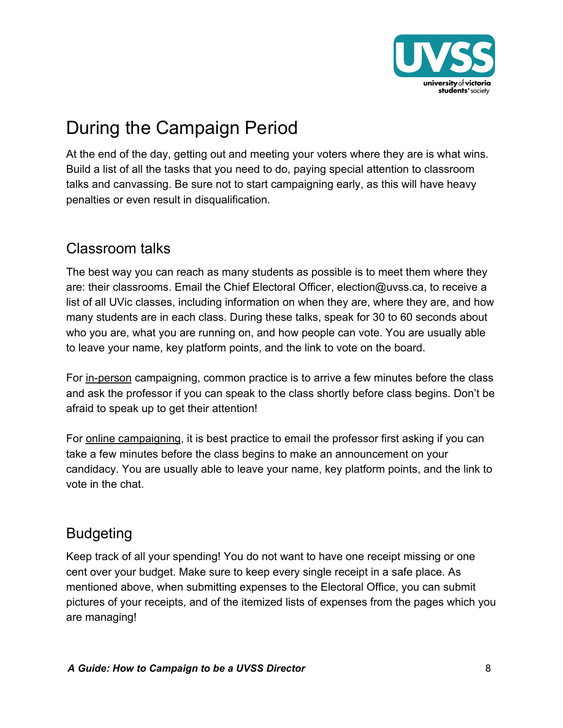

# <span id="page-7-0"></span>During the Campaign Period

At the end of the day, getting out and meeting your voters where they are is what wins. Build a list of all the tasks that you need to do, paying special attention to classroom talks and canvassing. Be sure not to start campaigning early, as this will have heavy penalties or even result in disqualification.

#### <span id="page-7-1"></span>Classroom talks

The best way you can reach as many students as possible is to meet them where they are: their classrooms. Email the Chief Electoral Officer, election@uvss.ca, to receive a list of all UVic classes, including information on when they are, where they are, and how many students are in each class. During these talks, speak for 30 to 60 seconds about who you are, what you are running on, and how people can vote. You are usually able to leave your name, key platform points, and the link to vote on the board.

For in-person campaigning, common practice is to arrive a few minutes before the class and ask the professor if you can speak to the class shortly before class begins. Don't be afraid to speak up to get their attention!

For online campaigning, it is best practice to email the professor first asking if you can take a few minutes before the class begins to make an announcement on your candidacy. You are usually able to leave your name, key platform points, and the link to vote in the chat.

#### <span id="page-7-2"></span>Budgeting

Keep track of all your spending! You do not want to have one receipt missing or one cent over your budget. Make sure to keep every single receipt in a safe place. As mentioned above, when submitting expenses to the Electoral Office, you can submit pictures of your receipts, and of the itemized lists of expenses from the pages which you are managing!